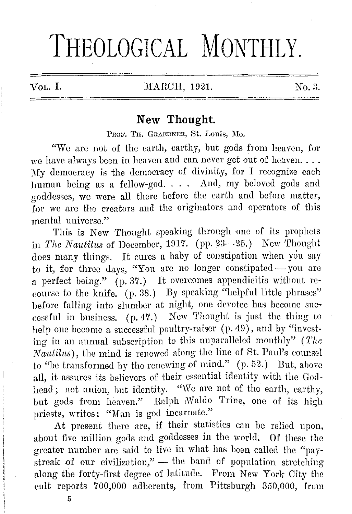## THEOLOGICAL MONTHLY.

## VOL. I. MARCH, 1921. No. 3.

## **New Thought.**

PROF. TH. GRAEBNER, St. Louis, Mo.

"We are not of the earth, earthy, but gods from heaven, for we have always been in heaven and can never get out of heaven.... **My** democracy is the democracy of divinity, for I recognize each human being as a fellow-god. . . . And, my beloved gods and goddesses, we wore all there before the earth and before matter, for we arc the creators and the originators and operators of this mental universe."

This is New Thought speaking through one of its prophets in *The Nautilus* of December, 1917. (pp. 23-25.) New Thought does many things. It cures a baby of coustipation when you say to it, for three days, "You are no longer constipated - you are a perfect being." (p. 37.) It overcomes appendicitis without recourse to the knife. (p. 38.) By speaking "helpful little phrases" before falling into slumber at night, one devotee has become snecessfnl in business. (p.47.) New.'l'hought is just the thing to help one become a successful poultry-raiser (p. 49), and by "investing in an annual subscription to this unparalleled monthly" ( *Tlw N autilns),* the miml is renewed along the line of St. Paul's counsel to "be transformed by the renewing of mind." (p. 52.) But, above all, it assures its believers of their essential identity with the Godhead; not union, but identity. "We arc not of the earth, earthy, but gods from heaven." Ralph ;Waldo Trine, one of its high priests, writes: "Man is god incarnate."

At present there are, if their statistics can be relied upon, about five million gods nnd goddesses in the world. Of these the greater number are said to live in what has been called the "paystreak of our civilization,"  $-$  the band of population stretching along the forty-first degree of latitude. From New York City the cult reports 700,000 adherents, from Pittsburgh 350,000, from

**6**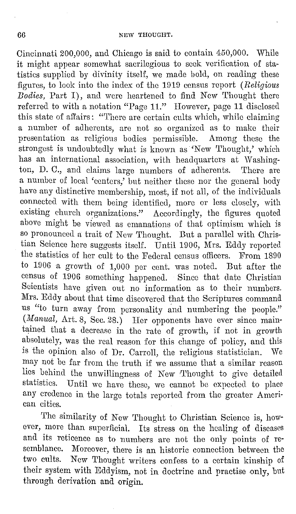Cincinnati 200,000, and Chicago is said to contain 450,000. While it might appear somewhat sacrilegious to seek voriiication of statistics supplied by divinity itself, we made bold, on reading these figures, to look into the index of tho 1919 census report ( *Religious Bodies,* Part I), and wore heartened to find New Thought there referred to with a notation "Page 11." However, page 11 disclosed this state of ail'airs: "Thero are certain cults which, while claiming a number of adherents, are not so organized as to make their presentation as religious bodies permissible. Among these the strongest is undoubtedly what is known as 'New Thought,' which has an international association, with headquarters at Washington, D. C., and claims large numbers of adherents. There are a number of local 'centers,' but neither those nor the general body have any distinctive membership, most, if not all, of the individuals connected with them being identified, more or less closely, with existing church organizations." Accordingly, the figures quoted above might be viewed as emanations of that optimism which is so pronounced a trait of New Thought. But a parallel with Christian Science here suggests itself. Until 190G, Mrs. Eddy reported the statistics of her cult to the Federal census oflicers. From 1890 to 1906 a growth of 1,000 per cont. was noted. But after the census of 1906 something happened. Since that date Christian Scientists have given out no information as to their numbers. Mrs. Eddy about that time discovered that tho Scriptures command us "to turn away from personality and numbering the people." (*Manual, Art. 8, Sec. 28.*) Her opponents have ever since maintained that a decrease in the rate of growth, if not in growth absolutely, was the real reason for this change of policy, and this is the opinion also of Dr. Carroll, the religious statistician. We may not be fur from the truth if we assume that a similar reason lies behind the unwillingness of New ''l'hought to give detailed statistics. Until we have these, we cannot be expected to place any credence in the large totals reported from the greater American cities.

The similarity of New Thought to Christian Science is, however, more than superficial. Its stress on the healing of diseases and its reticence as to numbers are not the only points of resemblance. Moreover, there is an historic connection between the two cults. New Thought writers confess to a certain kinship of their system with Eddyism, not in doctrine and practise only, but through derivation and origin.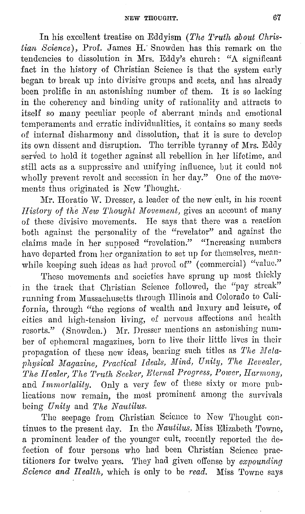In his excellent treatise on Eddyism *(The T-ri1th about Christian Science),* Prof. James II.' Snowden has this remark on the tendencies to dissolution in Mrs. Eddy's church: "A significant fact in the history of Christian Science is that the system early began to break up into divisive groups and sects, and has already been prolific in an astonishing number of them. It is so lacking in the coherency and binding unity of rationality and attracts to itself so many peculiar people of aberrant minds and emotional temperaments and erratic individualities, it contains so many seecls of internal disharmony and dissolution, that it is sure to develop its own dissent and disruption. The terrible tyranny of Mrs. Eddy served to hold it together against all rebellion in her lifetime, and still acts as a suppressive and unifying influence, but it could not wholly prevent revolt and secession in her day." One of the movements thus originated is New Thought.

Mr. Horatio W. Dresser, a leader of the new cult, in his recent *History of the New Thought Movement, gives an account of many* of these divisive movements. He says that there was a reaction both against the personality of the "revelator" and against the claims made in her supposed "revelation." "Increasing numbers have departed from her organization to set up for themselves, meanwhile keeping such ideas as had proved of" (commercial) "value."

These movements and societies have sprung up most thickly in the track that Christian Science followed, the "pay streak" running from Massachusetts through Illinois and Colorado to California, through "the regions of wealth and luxury and leisure, of cities and high-tension living, of nervous affections and health resorts." (Snowden.) Mr. Dresser mentions an astonishing numher of ephemeral magazines, born to live their little lives in their propagation of these new ideas, bearing such titles as *The Mela*physical Magazine, Practical Ideals, Mind, Unity, The Revealer, *The Healer, The Truth Seeker, Eternal Progress, Power, Harmony,* and *Imrnorlalily.* Only a very few of these sixty or more publications now remain, the most prominent among the survivals being *Unity* and *The Nautilus*.

The seepage from Christian Science to New Thought continues to the present day. In the *Nautilus,* Miss Elizabeth 'fowne, a prominent leader of the younger cult, recently reported the defection. of four persons who had been Christian Science practitioners for twelve years. They hacl given offense by *expounding Science and Health,* which is only to be *read.* Miss 'l'owne says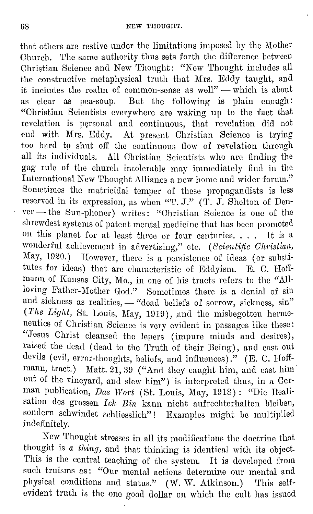that others are restive under the limitations imposed by the Mother Church. The same authority thus sets forth the difference between Christian Science and New Thought: "New Thought includes all the constructive metaphysical truth that Mrs. Eddy taught, and it includes the realm of common-sense as well" - which is about as clear as pea-soup. But the following is plain enough: "Christian Scientists everywhere arc waking up to the fact that revelation is personal and continuous, that revelation did not end with Mrs. Eddy. At present Christian Science is trying too hard to shut off the continuous flow of revelation through all its individuals. All Christian Scientists who are finding the gag rule of the church intolerable may immediately find in the International New Thought Alliance a new home and wider forum." Sometimes the matricidal temper of these propagandists is less reserved in its expression, as when "T. J." (T. J. Shelton of Denver - the Sun-phoner) writes: "Christian Science is one of the shrewdest systems of patent mental medicine that has been promoted on this planet for at least three or four centuries. . . . It is a wonderful achievement in advertising," etc. *(Scientific Christian,* May, 1920.) However, there is a persistence of ideas (or substitutes for ideas) that arc characteristic of Eddyism. E. C. Hoffmann of Kansas City, Mo., in one of his tracts refers to the "Allloving Father-Mother God." Sometimes there is a denial of sin and sickness as realities, - "dead beliefs of sorrow, sickness, sin" (The Light, St. Louis, May, 1919), and the misbegotten hermeneutics of Christian Science is very evident in passages like these: "Jesus Christ cleansed the lepers (impure minds and desires), raised the dead ( dead to the Truth of their Being), and cast out devils (evil, error-thoughts, beliefs, and influences)." (E. C. Hoffmann, tract.) Matt. 21, 39 ("And they caught him, and cast him out of the vineyard, and slow him") 'is interpreted thus, in a German publication, *Das Wort* (St. Louis, May, 1918) : "Die Realisation des grossen *Ich Bin* kann nicht aufrechterhalten bleiben, sondern schwindet schliesslich"! Examples might be multiplied indefinitely.

Now 'l'hought stresses in all its modifications the doctrine that thought is *a thing,* and that thinking is identical with its object. This is the central teaching of the system. It is developed from such truisms as: "Our mental actions determine our mental and physical conditions and status." (W. W. Atkinson.) This selfevident truth is the one good dollar on which the cult has issued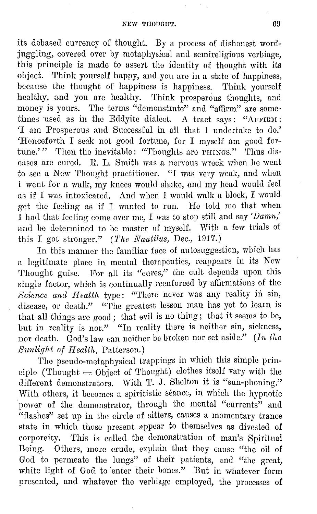its debased currency of thought. By a process of dishonest wordjuggling, covered over by metaphysical and semireligious verbiage, this principle is made to assert the identity of thought with its object. Think yourself happy, and you are in a state of happiness, because the thought of happiness is happiness. Think yourself healthy, and you are healthy. 'l'hink prosperous thoughts, and money is yours. The terms "demonstrate" and "affirm" are sometimes used as in the Eddyite dialect. A tract says: "AFFIRM: 'I am Prosperous and Successful in all that I undertake to do.' 'Henceforth I seek not good fortune, for I myself am good fortune.' " Then the inevitable : "Thoughts are  $\tau$ н $\pi$ ngs." Thus diseases are cured. R. L. Smith was a nervous wreck when he went to sec a Now Thought practitioner. "I was very weak, and when J went for a walk, my knees would shake, and my head would feel as if I was intoxicated. And when I would walk a block, I would get tho feeling as if I wanted to run. He told mo that when I had that fooling come over me, I was to stop still and say *'Damn,'*  and he determined to be master of myself. With a few trials of this I got stronger." *(The Nautilus, Dec., 1917.)* 

In this manner the familiar face of autosuggestion, which has a legitimate place in mental therapeutics, reappears in its New Thought guise. For all its "cures," the cult depends upon this single factor, which is continually reenforced by affirmations of the Science and Health type: "There never was any reality in sin, disease, or death." "The greatest lesson man has yet to learn is that all things are good; that evil is no thing; that it seems to be, but in reality is not." "In reality there is neither sin, sickness, nor death. God's law can neither be broken nor set aside." *(In the 81tnlight of II ealth,* Patterson.)

The pseudo-metaphysical trappings in which this simple principle (Thought  $=$  Object of Thought) clothes itself vary with the different demonstrators. With T. J. Shelton it is "sun-phoning." With others, it becomes a spiritistic séance, in which the hypnotic power of the demonstrator, through the mental "currents" and "flashes" set up in the circle of sitters, causes a momentary trance state in which those present appear to themselves as divested of corporeity. This is called the demonstration of man's Spiritual Being. Others, more crude, explain that they cause "the oil of God to permeate the lungs" of their patients, and "the great, white light of God to enter their bones." But in whatever form presented, and whatever the verbiage employed, the processes of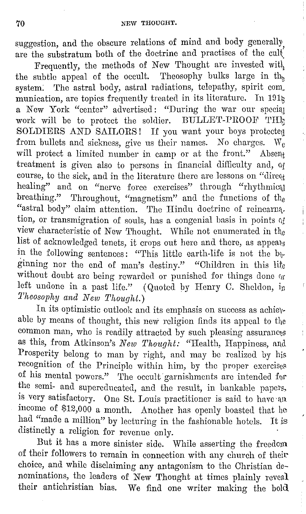suggestion, and the obscure relations of mind and body generally, are the substratum both of the doctrine and practises of the cult

Frequently, the methods of New Thought are invested with the subtle appeal of the occult. Theosophy bulks large in  $th_{\beta}$ system. The astral body, astral radiations, telepathy, spirit *com*. munication, are topics frequently treated in its literature. In  $191<sub>\xi</sub>$ a New York "center" advertised: "During the war our special work will be to protect the soldier.  $\text{BULLET-PROOF}}$   $\text{THl}_3$ SOLDIERS AND SAILORS! If you want your boys protected from bullets and sickness, give us their names. No charges.  $W_e$ will protect a limited number in camp or at the front." Absent treatment is given also to persons in financial difficulty and, of course, to the sick, and in the literature there are lessons on "direqt healing" and on "nerve force exercises" through "rhythmical breathing." Throughout, "magnetism" and the functions of the "astral body" claim attention. The Hindu doctrine of reincarnation, or transmigration of souls, has a congenial basis in points of view characteristic of New Thought. While not enumerated in the list of acknowledged tenets, it crops out here and there, as appears in the following sentences: "This little earth-life is not the  $b_{\hat{y}}$ ginning nor the end of man's destiny." "Children in this lite without doubt are being rewarded or punished for things done or left undone in a past life." (Quoted by Henry C. Sheldon, in *'l'heosophy and New 'l'houghl.)* 

In its optimistic outlook and its emphasis on success as achievable by means of thought, this new religion finds its appeal to the common man, who is readily attracted by such pleasing assurances as this, from Atkinson's *New Thought:* "Health, Happiness, and Prosperity belong to man by right, and may be realized by his recognition of the Principle within him, by the proper exercises of his mental powers." 'l'he occult garnishments arc intended for the semi- and supercducated, and the result, in bankable papers, is very satisfactory. One St. Louis practitioner is said to have an income of \$12,000 a month. Another has openly boasted that he had "made a million" by lecturing in the fashionable hotels. It is distinctly a religion for revenue only.

But it has a more sinister side. While asserting the freedom of their followers to remain in connection with any church of their choice, and while disclaiming any antagonism to the Christian denominations, the leaders of New Thought at times plainly reveal their antichristian bias. We find one writer making the bold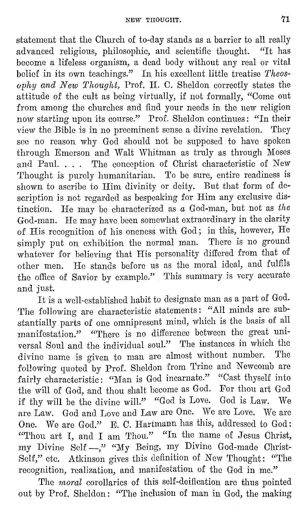statement that the Church of to-day stands as a barrier to all really advanced religious, philosophic, and scientific thought. "It has become a lifeless organism, a dead body without any real or vital belief in its own teachings." In his excellent little treatise *Theosophy and New Thought,* Prof. II. 0. Sheldon correctly states the attitude of the cult as being virtually, if not formally, "Come out from among the churches and find your needs in the new religion now starting upon its course." Prof. Sheldon continues: "In their view the Bible is in no preeminent sense a divine revelation. They see no reason why God should not be supposed to have spoken through Emerson and Walt Whitman as truly as through Moses and Paul. . . . The conception of Christ characteristic of New Thought is purely humanitarian. To be sure, entire readiness is shown to ascribe to Him divinity or deity. But that form of description is not regarded as bespeaking for Him any exclusive distinction. He may be characterized as *a* God-man, but not as *the*  God-man. He may have been somewhat extraordinary in the clarity of His recognition of his oneness with God; in this, however, He simply put on exhibition the normal man. There is no ground whatever for believing that His personality differed from that of other men. He stands before us as the moral ideal, and fulfils the office of Savior by example." This summary is very accurate and just.

It is a well-established habit to designate man as a part of God. The following are characteristic statements: "All minds are substantially parts of one omnipresent mind, which is the basis of all manifestation." "There is no difference between the great universal Soul and the individual soul." The instances in which the divine name is given to man are almost without number. The following quoted by Prof. Sheldon from Trine and Newcomb are fairly characteristic: "Man is God incarnate." "Cast thyself into the will of God, and thou shalt become as God. For thou art God if thy will be the divine will." "God is Love. God is Law. We are Law. God and Love and Law are One. We arc Love. We arc One. We are God." E. C. Hartmann has this, addressed to God: "Thou art I, and I am Thou." "In the name of Jesus Christ, my Divine Self-," "My Being, my Divine God-made Ohrist-Self," etc. Atkinson gives this definition of New Thought: "The recognition, realization, and manifestation of the God in me."

The *moral* corollaries of this self-deification are thus pointed out by Prof. Sheldon: "The inclusion of man in God, the making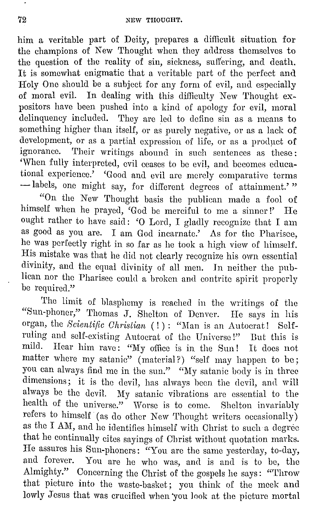him a veritable part of Deity, prepares a difficult situation for the champions of New 'l'hought when they address themselves to the question of the reality of sin, sickness, suffering, and death. It is somewhat enigmatic that a veritable part of the perfect and Holy One should be a subject for any form of evil, aud especially of moral evil. In dealing with this difficulty New Thought expositors have been pushed into a kind of apology for evil, moral delinquency included. They are led to define sin as a means to something higher than itself, or as purely negative, or as a lack of development, or as a partial expression of life, or as a product of ignorance. Their writings abound in such sentences as these: 'When fully interpreted, evil ceases to be evil, and becomes educational experience.' 'Good and evil are merely comparative terms - labels, one might say, for different degrees of attainment.'"

"On the New 'l'hought basis the publican made a fool of himself when he prayed, 'God be merciful to me a sinner!' He ought rather to have said: 'O Lord, I gladly recognize that I am as good as you are. I am God incarnate.' As for the Pharisee, he was perfectly right in so far as he took a high view of himself. His mistake was that he did not clearly recognize his own essential divinity, and the equal divinity of all men. ln neither the publican nor the Pharisee could a broken and contrite spirit properly be required."

'l'hc limit of blasphemy is reached in the writings of the "Sun-phoner," 'l'homas J. Shelton of Denver. He says in his organ, the *8cienti/ic Christian* ( ! ) : "Man is an Autocrat! Selfruling and self-existing Autocrat of the Universe!" But this is mild. Hear him rave: "My office is in the Sun! It does not matter where my satanic" (material?) "self may happen to be; you can always find me in the sun." "My satanic body is in three dimensions; it is the devil, has always been the devil, and will always he the devil. My satanic vibrations are essential to the health of the universe." Worse is to come. Shelton invariably refers to himself (as do other New Thought writers occasionally) as the I AM, and he identifies himself with Christ to such a degree that he continually cites sayings of Christ without quotation marks. He assures his Sun-phoners: "You are the same yesterday, to-day, and forever. You are he who was, and is and is to be, the Almighty." Concerning the Christ of the gospels he says: "Throw that picture into the waste-basket; you think of the meek and lowly Jesus that was crucified when 'you look at the picture mortal